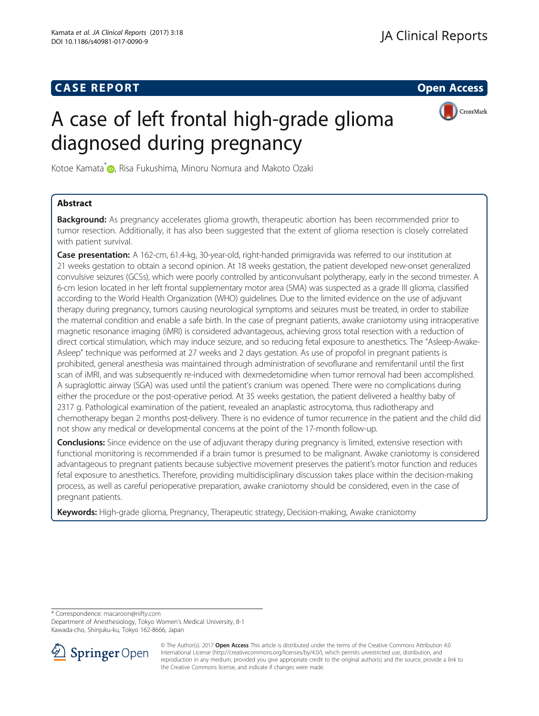## **CASE REPORT And SERVICE SERVICE SERVICE SERVICE SERVICE SERVICE SERVICE SERVICE SERVICE SERVICE SERVICE SERVICE**

# A case of left frontal high-grade glioma diagnosed during pregnancy



Kotoe Kamata<sup>\*</sup> **D**[,](http://orcid.org/0000-0002-7224-5993) Risa Fukushima, Minoru Nomura and Makoto Ozaki

## Abstract

**Background:** As pregnancy accelerates glioma growth, therapeutic abortion has been recommended prior to tumor resection. Additionally, it has also been suggested that the extent of glioma resection is closely correlated with patient survival.

**Case presentation:** A 162-cm, 61.4-kg, 30-year-old, right-handed primigravida was referred to our institution at 21 weeks gestation to obtain a second opinion. At 18 weeks gestation, the patient developed new-onset generalized convulsive seizures (GCSs), which were poorly controlled by anticonvulsant polytherapy, early in the second trimester. A 6-cm lesion located in her left frontal supplementary motor area (SMA) was suspected as a grade III glioma, classified according to the World Health Organization (WHO) guidelines. Due to the limited evidence on the use of adjuvant therapy during pregnancy, tumors causing neurological symptoms and seizures must be treated, in order to stabilize the maternal condition and enable a safe birth. In the case of pregnant patients, awake craniotomy using intraoperative magnetic resonance imaging (iMRI) is considered advantageous, achieving gross total resection with a reduction of direct cortical stimulation, which may induce seizure, and so reducing fetal exposure to anesthetics. The "Asleep-Awake-Asleep" technique was performed at 27 weeks and 2 days gestation. As use of propofol in pregnant patients is prohibited, general anesthesia was maintained through administration of sevoflurane and remifentanil until the first scan of iMRI, and was subsequently re-induced with dexmedetomidine when tumor removal had been accomplished. A supraglottic airway (SGA) was used until the patient's cranium was opened. There were no complications during either the procedure or the post-operative period. At 35 weeks gestation, the patient delivered a healthy baby of 2317 g. Pathological examination of the patient, revealed an anaplastic astrocytoma, thus radiotherapy and chemotherapy began 2 months post-delivery. There is no evidence of tumor recurrence in the patient and the child did not show any medical or developmental concerns at the point of the 17-month follow-up.

Conclusions: Since evidence on the use of adjuvant therapy during pregnancy is limited, extensive resection with functional monitoring is recommended if a brain tumor is presumed to be malignant. Awake craniotomy is considered advantageous to pregnant patients because subjective movement preserves the patient's motor function and reduces fetal exposure to anesthetics. Therefore, providing multidisciplinary discussion takes place within the decision-making process, as well as careful perioperative preparation, awake craniotomy should be considered, even in the case of pregnant patients.

Keywords: High-grade glioma, Pregnancy, Therapeutic strategy, Decision-making, Awake craniotomy

\* Correspondence: [macaroon@nifty.com](mailto:macaroon@nifty.com)

Department of Anesthesiology, Tokyo Women's Medical University, 8-1 Kawada-cho, Shinjuku-ku, Tokyo 162-8666, Japan



<sup>©</sup> The Author(s). 2017 Open Access This article is distributed under the terms of the Creative Commons Attribution 4.0 International License ([http://creativecommons.org/licenses/by/4.0/\)](http://creativecommons.org/licenses/by/4.0/), which permits unrestricted use, distribution, and reproduction in any medium, provided you give appropriate credit to the original author(s) and the source, provide a link to the Creative Commons license, and indicate if changes were made.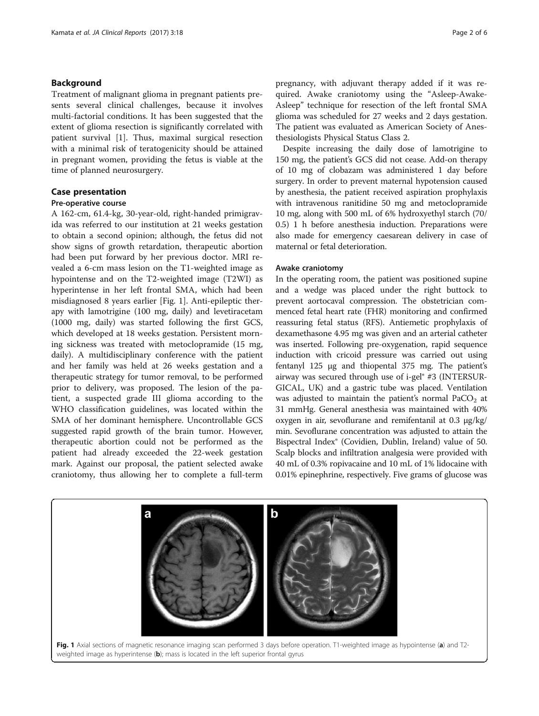## Background

Treatment of malignant glioma in pregnant patients presents several clinical challenges, because it involves multi-factorial conditions. It has been suggested that the extent of glioma resection is significantly correlated with patient survival [\[1\]](#page-4-0). Thus, maximal surgical resection with a minimal risk of teratogenicity should be attained in pregnant women, providing the fetus is viable at the time of planned neurosurgery.

## Case presentation

## Pre-operative course

A 162-cm, 61.4-kg, 30-year-old, right-handed primigravida was referred to our institution at 21 weeks gestation to obtain a second opinion; although, the fetus did not show signs of growth retardation, therapeutic abortion had been put forward by her previous doctor. MRI revealed a 6-cm mass lesion on the T1-weighted image as hypointense and on the T2-weighted image (T2WI) as hyperintense in her left frontal SMA, which had been misdiagnosed 8 years earlier [Fig. 1]. Anti-epileptic therapy with lamotrigine (100 mg, daily) and levetiracetam (1000 mg, daily) was started following the first GCS, which developed at 18 weeks gestation. Persistent morning sickness was treated with metoclopramide (15 mg, daily). A multidisciplinary conference with the patient and her family was held at 26 weeks gestation and a therapeutic strategy for tumor removal, to be performed prior to delivery, was proposed. The lesion of the patient, a suspected grade III glioma according to the WHO classification guidelines, was located within the SMA of her dominant hemisphere. Uncontrollable GCS suggested rapid growth of the brain tumor. However, therapeutic abortion could not be performed as the patient had already exceeded the 22-week gestation mark. Against our proposal, the patient selected awake craniotomy, thus allowing her to complete a full-term pregnancy, with adjuvant therapy added if it was required. Awake craniotomy using the "Asleep-Awake-Asleep" technique for resection of the left frontal SMA glioma was scheduled for 27 weeks and 2 days gestation. The patient was evaluated as American Society of Anesthesiologists Physical Status Class 2.

Despite increasing the daily dose of lamotrigine to 150 mg, the patient's GCS did not cease. Add-on therapy of 10 mg of clobazam was administered 1 day before surgery. In order to prevent maternal hypotension caused by anesthesia, the patient received aspiration prophylaxis with intravenous ranitidine 50 mg and metoclopramide 10 mg, along with 500 mL of 6% hydroxyethyl starch (70/ 0.5) 1 h before anesthesia induction. Preparations were also made for emergency caesarean delivery in case of maternal or fetal deterioration.

#### Awake craniotomy

In the operating room, the patient was positioned supine and a wedge was placed under the right buttock to prevent aortocaval compression. The obstetrician commenced fetal heart rate (FHR) monitoring and confirmed reassuring fetal status (RFS). Antiemetic prophylaxis of dexamethasone 4.95 mg was given and an arterial catheter was inserted. Following pre-oxygenation, rapid sequence induction with cricoid pressure was carried out using fentanyl 125 μg and thiopental 375 mg. The patient's airway was secured through use of i-gel® #3 (INTERSUR-GICAL, UK) and a gastric tube was placed. Ventilation was adjusted to maintain the patient's normal  $PaCO<sub>2</sub>$  at 31 mmHg. General anesthesia was maintained with 40% oxygen in air, sevoflurane and remifentanil at 0.3 μg/kg/ min. Sevoflurane concentration was adjusted to attain the Bispectral Index® (Covidien, Dublin, Ireland) value of 50. Scalp blocks and infiltration analgesia were provided with 40 mL of 0.3% ropivacaine and 10 mL of 1% lidocaine with 0.01% epinephrine, respectively. Five grams of glucose was

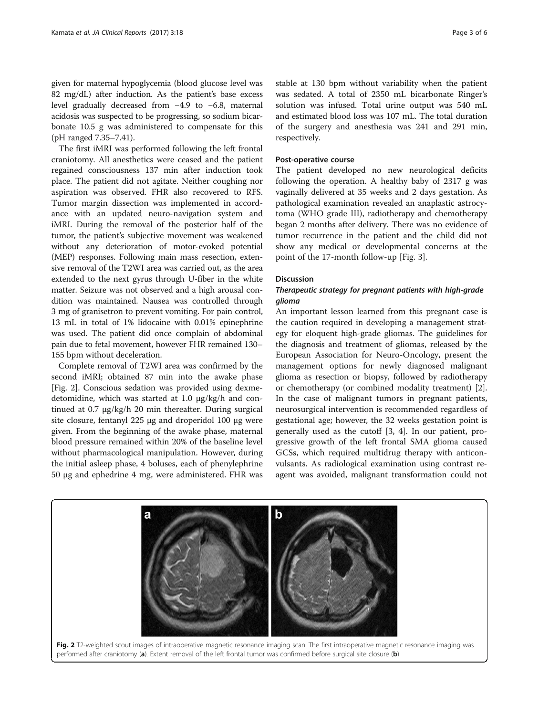given for maternal hypoglycemia (blood glucose level was 82 mg/dL) after induction. As the patient's base excess level gradually decreased from −4.9 to −6.8, maternal acidosis was suspected to be progressing, so sodium bicarbonate 10.5 g was administered to compensate for this (pH ranged 7.35–7.41).

The first iMRI was performed following the left frontal craniotomy. All anesthetics were ceased and the patient regained consciousness 137 min after induction took place. The patient did not agitate. Neither coughing nor aspiration was observed. FHR also recovered to RFS. Tumor margin dissection was implemented in accordance with an updated neuro-navigation system and iMRI. During the removal of the posterior half of the tumor, the patient's subjective movement was weakened without any deterioration of motor-evoked potential (MEP) responses. Following main mass resection, extensive removal of the T2WI area was carried out, as the area extended to the next gyrus through U-fiber in the white matter. Seizure was not observed and a high arousal condition was maintained. Nausea was controlled through 3 mg of granisetron to prevent vomiting. For pain control, 13 mL in total of 1% lidocaine with 0.01% epinephrine was used. The patient did once complain of abdominal pain due to fetal movement, however FHR remained 130– 155 bpm without deceleration.

Complete removal of T2WI area was confirmed by the second iMRI; obtained 87 min into the awake phase [Fig. 2]. Conscious sedation was provided using dexmedetomidine, which was started at 1.0 μg/kg/h and continued at 0.7 μg/kg/h 20 min thereafter. During surgical site closure, fentanyl 225 μg and droperidol 100 μg were given. From the beginning of the awake phase, maternal blood pressure remained within 20% of the baseline level without pharmacological manipulation. However, during the initial asleep phase, 4 boluses, each of phenylephrine 50 μg and ephedrine 4 mg, were administered. FHR was stable at 130 bpm without variability when the patient was sedated. A total of 2350 mL bicarbonate Ringer's solution was infused. Total urine output was 540 mL and estimated blood loss was 107 mL. The total duration of the surgery and anesthesia was 241 and 291 min, respectively.

#### Post-operative course

The patient developed no new neurological deficits following the operation. A healthy baby of 2317 g was vaginally delivered at 35 weeks and 2 days gestation. As pathological examination revealed an anaplastic astrocytoma (WHO grade III), radiotherapy and chemotherapy began 2 months after delivery. There was no evidence of tumor recurrence in the patient and the child did not show any medical or developmental concerns at the point of the 17-month follow-up [Fig. [3](#page-3-0)].

#### Discussion

## Therapeutic strategy for pregnant patients with high-grade glioma

An important lesson learned from this pregnant case is the caution required in developing a management strategy for eloquent high-grade gliomas. The guidelines for the diagnosis and treatment of gliomas, released by the European Association for Neuro-Oncology, present the management options for newly diagnosed malignant glioma as resection or biopsy, followed by radiotherapy or chemotherapy (or combined modality treatment) [\[2](#page-4-0)]. In the case of malignant tumors in pregnant patients, neurosurgical intervention is recommended regardless of gestational age; however, the 32 weeks gestation point is generally used as the cutoff [\[3](#page-4-0), [4](#page-4-0)]. In our patient, progressive growth of the left frontal SMA glioma caused GCSs, which required multidrug therapy with anticonvulsants. As radiological examination using contrast reagent was avoided, malignant transformation could not

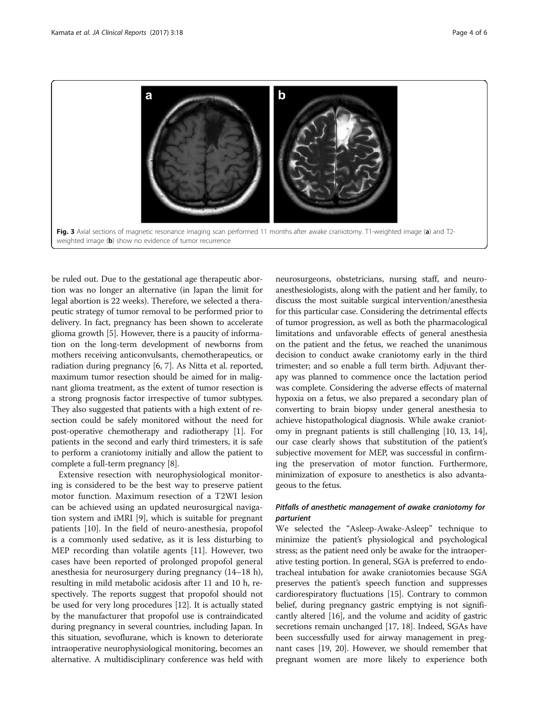<span id="page-3-0"></span>

be ruled out. Due to the gestational age therapeutic abortion was no longer an alternative (in Japan the limit for legal abortion is 22 weeks). Therefore, we selected a therapeutic strategy of tumor removal to be performed prior to delivery. In fact, pregnancy has been shown to accelerate glioma growth [[5\]](#page-4-0). However, there is a paucity of information on the long-term development of newborns from mothers receiving anticonvulsants, chemotherapeutics, or radiation during pregnancy [\[6](#page-4-0), [7\]](#page-4-0). As Nitta et al. reported, maximum tumor resection should be aimed for in malignant glioma treatment, as the extent of tumor resection is a strong prognosis factor irrespective of tumor subtypes. They also suggested that patients with a high extent of resection could be safely monitored without the need for post-operative chemotherapy and radiotherapy [\[1](#page-4-0)]. For patients in the second and early third trimesters, it is safe to perform a craniotomy initially and allow the patient to complete a full-term pregnancy [\[8\]](#page-4-0).

Extensive resection with neurophysiological monitoring is considered to be the best way to preserve patient motor function. Maximum resection of a T2WI lesion can be achieved using an updated neurosurgical navigation system and iMRI [\[9](#page-4-0)], which is suitable for pregnant patients [\[10](#page-4-0)]. In the field of neuro-anesthesia, propofol is a commonly used sedative, as it is less disturbing to MEP recording than volatile agents [[11\]](#page-4-0). However, two cases have been reported of prolonged propofol general anesthesia for neurosurgery during pregnancy (14–18 h), resulting in mild metabolic acidosis after 11 and 10 h, respectively. The reports suggest that propofol should not be used for very long procedures [\[12](#page-4-0)]. It is actually stated by the manufacturer that propofol use is contraindicated during pregnancy in several countries, including Japan. In this situation, sevoflurane, which is known to deteriorate intraoperative neurophysiological monitoring, becomes an alternative. A multidisciplinary conference was held with

neurosurgeons, obstetricians, nursing staff, and neuroanesthesiologists, along with the patient and her family, to discuss the most suitable surgical intervention/anesthesia for this particular case. Considering the detrimental effects of tumor progression, as well as both the pharmacological limitations and unfavorable effects of general anesthesia on the patient and the fetus, we reached the unanimous decision to conduct awake craniotomy early in the third trimester; and so enable a full term birth. Adjuvant therapy was planned to commence once the lactation period was complete. Considering the adverse effects of maternal hypoxia on a fetus, we also prepared a secondary plan of converting to brain biopsy under general anesthesia to achieve histopathological diagnosis. While awake craniotomy in pregnant patients is still challenging [[10](#page-4-0), [13, 14](#page-4-0)], our case clearly shows that substitution of the patient's subjective movement for MEP, was successful in confirming the preservation of motor function. Furthermore, minimization of exposure to anesthetics is also advantageous to the fetus.

## Pitfalls of anesthetic management of awake craniotomy for parturient

We selected the "Asleep-Awake-Asleep" technique to minimize the patient's physiological and psychological stress; as the patient need only be awake for the intraoperative testing portion. In general, SGA is preferred to endotracheal intubation for awake craniotomies because SGA preserves the patient's speech function and suppresses cardiorespiratory fluctuations [\[15\]](#page-5-0). Contrary to common belief, during pregnancy gastric emptying is not significantly altered [\[16\]](#page-5-0), and the volume and acidity of gastric secretions remain unchanged [\[17, 18\]](#page-5-0). Indeed, SGAs have been successfully used for airway management in pregnant cases [[19](#page-5-0), [20](#page-5-0)]. However, we should remember that pregnant women are more likely to experience both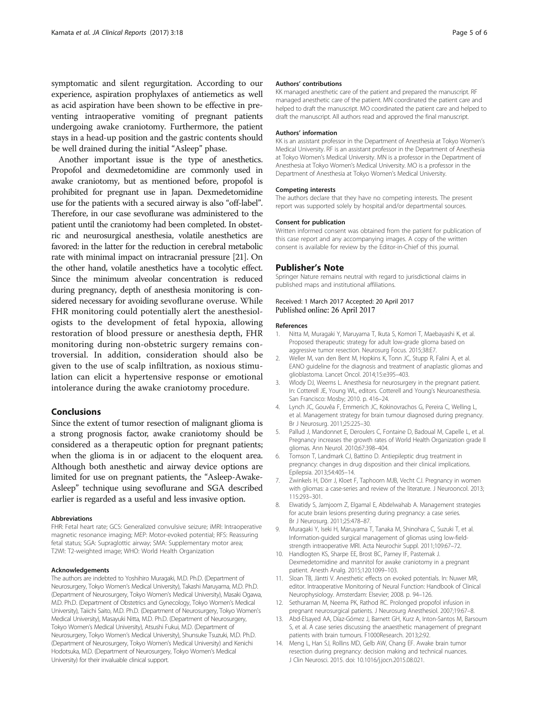<span id="page-4-0"></span>symptomatic and silent regurgitation. According to our experience, aspiration prophylaxes of antiemetics as well as acid aspiration have been shown to be effective in preventing intraoperative vomiting of pregnant patients undergoing awake craniotomy. Furthermore, the patient stays in a head-up position and the gastric contents should be well drained during the initial "Asleep" phase.

Another important issue is the type of anesthetics. Propofol and dexmedetomidine are commonly used in awake craniotomy, but as mentioned before, propofol is prohibited for pregnant use in Japan. Dexmedetomidine use for the patients with a secured airway is also "off-label". Therefore, in our case sevoflurane was administered to the patient until the craniotomy had been completed. In obstetric and neurosurgical anesthesia, volatile anesthetics are favored: in the latter for the reduction in cerebral metabolic rate with minimal impact on intracranial pressure [\[21\]](#page-5-0). On the other hand, volatile anesthetics have a tocolytic effect. Since the minimum alveolar concentration is reduced during pregnancy, depth of anesthesia monitoring is considered necessary for avoiding sevoflurane overuse. While FHR monitoring could potentially alert the anesthesiologists to the development of fetal hypoxia, allowing restoration of blood pressure or anesthesia depth, FHR monitoring during non-obstetric surgery remains controversial. In addition, consideration should also be given to the use of scalp infiltration, as noxious stimulation can elicit a hypertensive response or emotional intolerance during the awake craniotomy procedure.

## Conclusions

Since the extent of tumor resection of malignant glioma is a strong prognosis factor, awake craniotomy should be considered as a therapeutic option for pregnant patients; when the glioma is in or adjacent to the eloquent area. Although both anesthetic and airway device options are limited for use on pregnant patients, the "Asleep-Awake-Asleep" technique using sevoflurane and SGA described earlier is regarded as a useful and less invasive option.

#### Abbreviations

FHR: Fetal heart rate; GCS: Generalized convulsive seizure; iMRI: Intraoperative magnetic resonance imaging; MEP: Motor-evoked potential; RFS: Reassuring fetal status; SGA: Supraglottic airway; SMA: Supplementary motor area; T2WI: T2-weighted image; WHO: World Health Organization

#### Acknowledgements

The authors are indebted to Yoshihiro Muragaki, M.D. Ph.D. (Department of Neurosurgery, Tokyo Women's Medical University), Takashi Maruyama, M.D. Ph.D. (Department of Neurosurgery, Tokyo Women's Medical University), Masaki Ogawa, M.D. Ph.D. (Department of Obstetrics and Gynecology, Tokyo Women's Medical University), Taiichi Saito, M.D. Ph.D. (Department of Neurosurgery, Tokyo Women's Medical University), Masayuki Nitta, M.D. Ph.D. (Department of Neurosurgery, Tokyo Women's Medical University), Atsushi Fukui, M.D. (Department of Neurosurgery, Tokyo Women's Medical University), Shunsuke Tsuzuki, M.D. Ph.D. (Department of Neurosurgery, Tokyo Women's Medical University) and Kenichi Hodotsuka, M.D. (Department of Neurosurgery, Tokyo Women's Medical University) for their invaluable clinical support.

#### Authors' contributions

KK managed anesthetic care of the patient and prepared the manuscript. RF managed anesthetic care of the patient. MN coordinated the patient care and helped to draft the manuscript. MO coordinated the patient care and helped to draft the manuscript. All authors read and approved the final manuscript.

#### Authors' information

KK is an assistant professor in the Department of Anesthesia at Tokyo Women's Medical University. RF is an assistant professor in the Department of Anesthesia at Tokyo Women's Medical University. MN is a professor in the Department of Anesthesia at Tokyo Women's Medical University. MO is a professor in the Department of Anesthesia at Tokyo Women's Medical University.

#### Competing interests

The authors declare that they have no competing interests. The present report was supported solely by hospital and/or departmental sources.

#### Consent for publication

Written informed consent was obtained from the patient for publication of this case report and any accompanying images. A copy of the written consent is available for review by the Editor-in-Chief of this journal.

#### Publisher's Note

Springer Nature remains neutral with regard to jurisdictional claims in published maps and institutional affiliations.

#### Received: 1 March 2017 Accepted: 20 April 2017 Published online: 26 April 2017

#### References

- 1. Nitta M, Muragaki Y, Maruyama T, Ikuta S, Komori T, Maebayashi K, et al. Proposed therapeutic strategy for adult low-grade glioma based on aggressive tumor resection. Neurosurg Focus. 2015;38:E7.
- 2. Weller M, van den Bent M, Hopkins K, Tonn JC, Stupp R, Falini A, et al. EANO guideline for the diagnosis and treatment of anaplastic gliomas and glioblastoma. Lancet Oncol. 2014;15:e395–403.
- 3. Wlody DJ, Weems L. Anesthesia for neurosurgery in the pregnant patient. In: Cotterell JE, Young WL, editors. Cotterell and Young's Neuroanesthesia. San Francisco: Mosby; 2010. p. 416–24.
- 4. Lynch JC, Gouvêa F, Emmerich JC, Kokinovrachos G, Pereira C, Welling L, et al. Management strategy for brain tumour diagnosed during pregnancy. Br J Neurosurg. 2011;25:225–30.
- 5. Pallud J, Mandonnet E, Deroulers C, Fontaine D, Badoual M, Capelle L, et al. Pregnancy increases the growth rates of World Health Organization grade II gliomas. Ann Neurol. 2010;67:398–404.
- 6. Tomson T, Landmark CJ, Battino D. Antiepileptic drug treatment in pregnancy: changes in drug disposition and their clinical implications. Epilepsia. 2013;54:405–14.
- 7. Zwinkels H, Dörr J, Kloet F, Taphoorn MJB, Vecht CJ. Pregnancy in women with gliomas: a case-series and review of the literature. J Neurooncol. 2013; 115:293–301.
- 8. Elwatidy S, Jamjoom Z, Elgamal E, Abdelwahab A. Management strategies for acute brain lesions presenting during pregnancy: a case series. Br J Neurosurg. 2011;25:478–87.
- 9. Muragaki Y, Iseki H, Maruyama T, Tanaka M, Shinohara C, Suzuki T, et al. Information-guided surgical management of gliomas using low-fieldstrength intraoperative MRI. Acta Neurochir Suppl. 2011;109:67–72.
- 10. Handlogten KS, Sharpe EE, Brost BC, Parney IF, Pasternak J. Dexmedetomidine and mannitol for awake craniotomy in a pregnant patient. Anesth Analg. 2015;120:1099–103.
- 11. Sloan TB, Jäntti V. Anesthetic effects on evoked potentials. In: Nuwer MR, editor. Intraoperative Monitoring of Neural Function: Handbook of Clinical Neurophysiology. Amsterdam: Elsevier; 2008. p. 94–126.
- 12. Sethuraman M, Neema PK, Rathod RC. Prolonged propofol infusion in pregnant neurosurgical patients. J Neurosurg Anesthesiol. 2007;19:67–8.
- 13. Abd-Elsayed AA, Díaz-Gómez J, Barnett GH, Kurz A, Inton-Santos M, Barsoum S, et al. A case series discussing the anaesthetic management of pregnant patients with brain tumours. F1000Research. 2013;2:92.
- 14. Meng L, Han SJ, Rollins MD, Gelb AW, Chang EF. Awake brain tumor resection during pregnancy: decision making and technical nuances. J Clin Neurosci. 2015. doi: [10.1016/j.jocn.2015.08.021.](http://dx.doi.org/10.1016/j.jocn.2015.08.021)